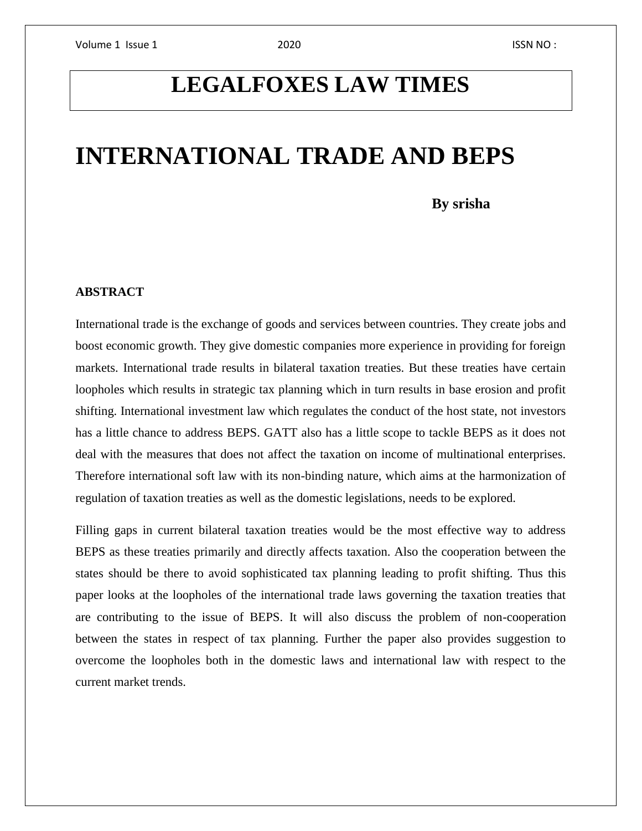## **LEGALFOXES LAW TIMES**

# **INTERNATIONAL TRADE AND BEPS**

 **By srisha**

### **ABSTRACT**

International trade is the exchange of goods and services between countries. They create jobs and boost economic growth. They give domestic companies more experience in providing for foreign markets. International trade results in bilateral taxation treaties. But these treaties have certain loopholes which results in strategic tax planning which in turn results in base erosion and profit shifting. International investment law which regulates the conduct of the host state, not investors has a little chance to address BEPS. GATT also has a little scope to tackle BEPS as it does not deal with the measures that does not affect the taxation on income of multinational enterprises. Therefore international soft law with its non-binding nature, which aims at the harmonization of regulation of taxation treaties as well as the domestic legislations, needs to be explored.

Filling gaps in current bilateral taxation treaties would be the most effective way to address BEPS as these treaties primarily and directly affects taxation. Also the cooperation between the states should be there to avoid sophisticated tax planning leading to profit shifting. Thus this paper looks at the loopholes of the international trade laws governing the taxation treaties that are contributing to the issue of BEPS. It will also discuss the problem of non-cooperation between the states in respect of tax planning. Further the paper also provides suggestion to overcome the loopholes both in the domestic laws and international law with respect to the current market trends.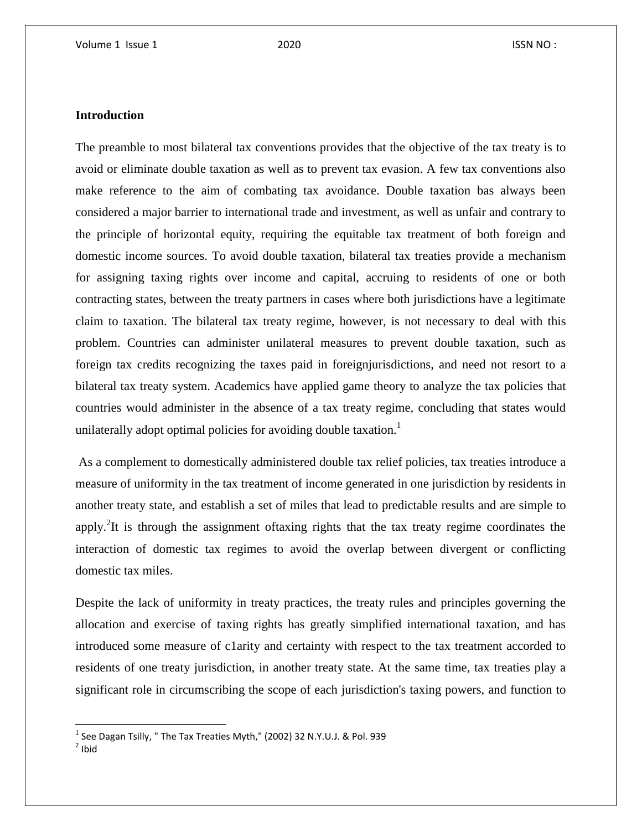### **Introduction**

The preamble to most bilateral tax conventions provides that the objective of the tax treaty is to avoid or eliminate double taxation as well as to prevent tax evasion. A few tax conventions also make reference to the aim of combating tax avoidance. Double taxation bas always been considered a major barrier to international trade and investment, as well as unfair and contrary to the principle of horizontal equity, requiring the equitable tax treatment of both foreign and domestic income sources. To avoid double taxation, bilateral tax treaties provide a mechanism for assigning taxing rights over income and capital, accruing to residents of one or both contracting states, between the treaty partners in cases where both jurisdictions have a legitimate claim to taxation. The bilateral tax treaty regime, however, is not necessary to deal with this problem. Countries can administer unilateral measures to prevent double taxation, such as foreign tax credits recognizing the taxes paid in foreignjurisdictions, and need not resort to a bilateral tax treaty system. Academics have applied game theory to analyze the tax policies that countries would administer in the absence of a tax treaty regime, concluding that states would unilaterally adopt optimal policies for avoiding double taxation.<sup>1</sup>

As a complement to domestically administered double tax relief policies, tax treaties introduce a measure of uniformity in the tax treatment of income generated in one jurisdiction by residents in another treaty state, and establish a set of miles that lead to predictable results and are simple to apply.<sup>2</sup>It is through the assignment oftaxing rights that the tax treaty regime coordinates the interaction of domestic tax regimes to avoid the overlap between divergent or conflicting domestic tax miles.

Despite the lack of uniformity in treaty practices, the treaty rules and principles governing the allocation and exercise of taxing rights has greatly simplified international taxation, and has introduced some measure of c1arity and certainty with respect to the tax treatment accorded to residents of one treaty jurisdiction, in another treaty state. At the same time, tax treaties play a significant role in circumscribing the scope of each jurisdiction's taxing powers, and function to

l

 $^1$  See Dagan Tsilly, " The Tax Treaties Myth," (2002) 32 N.Y.U.J. & Pol. 939

 $2$  Ibid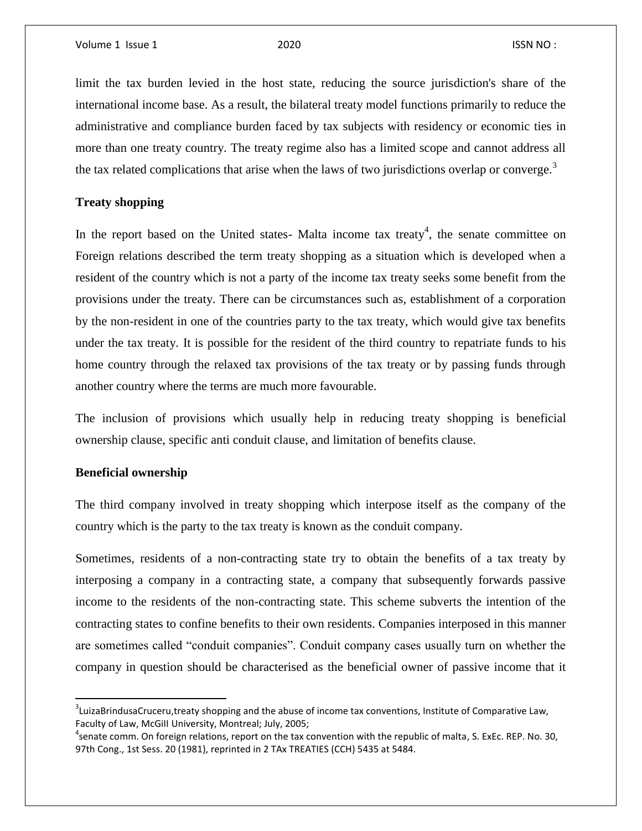limit the tax burden levied in the host state, reducing the source jurisdiction's share of the international income base. As a result, the bilateral treaty model functions primarily to reduce the administrative and compliance burden faced by tax subjects with residency or economic ties in more than one treaty country. The treaty regime also has a limited scope and cannot address all the tax related complications that arise when the laws of two jurisdictions overlap or converge.<sup>3</sup>

#### **Treaty shopping**

In the report based on the United states- Malta income tax treaty<sup>4</sup>, the senate committee on Foreign relations described the term treaty shopping as a situation which is developed when a resident of the country which is not a party of the income tax treaty seeks some benefit from the provisions under the treaty. There can be circumstances such as, establishment of a corporation by the non-resident in one of the countries party to the tax treaty, which would give tax benefits under the tax treaty. It is possible for the resident of the third country to repatriate funds to his home country through the relaxed tax provisions of the tax treaty or by passing funds through another country where the terms are much more favourable.

The inclusion of provisions which usually help in reducing treaty shopping is beneficial ownership clause, specific anti conduit clause, and limitation of benefits clause.

#### **Beneficial ownership**

 $\overline{a}$ 

The third company involved in treaty shopping which interpose itself as the company of the country which is the party to the tax treaty is known as the conduit company.

Sometimes, residents of a non-contracting state try to obtain the benefits of a tax treaty by interposing a company in a contracting state, a company that subsequently forwards passive income to the residents of the non-contracting state. This scheme subverts the intention of the contracting states to confine benefits to their own residents. Companies interposed in this manner are sometimes called "conduit companies". Conduit company cases usually turn on whether the company in question should be characterised as the beneficial owner of passive income that it

 ${}^{3}$ LuizaBrindusaCruceru,treaty shopping and the abuse of income tax conventions, Institute of Comparative Law, Faculty of Law, McGiII University, Montreal; July, 2005;

<sup>&</sup>lt;sup>4</sup>senate comm. On foreign relations, report on the tax convention with the republic of malta, S. ExEc. REP. No. 30, 97th Cong., 1st Sess. 20 (1981), reprinted in 2 TAx TREATIES (CCH) 5435 at 5484.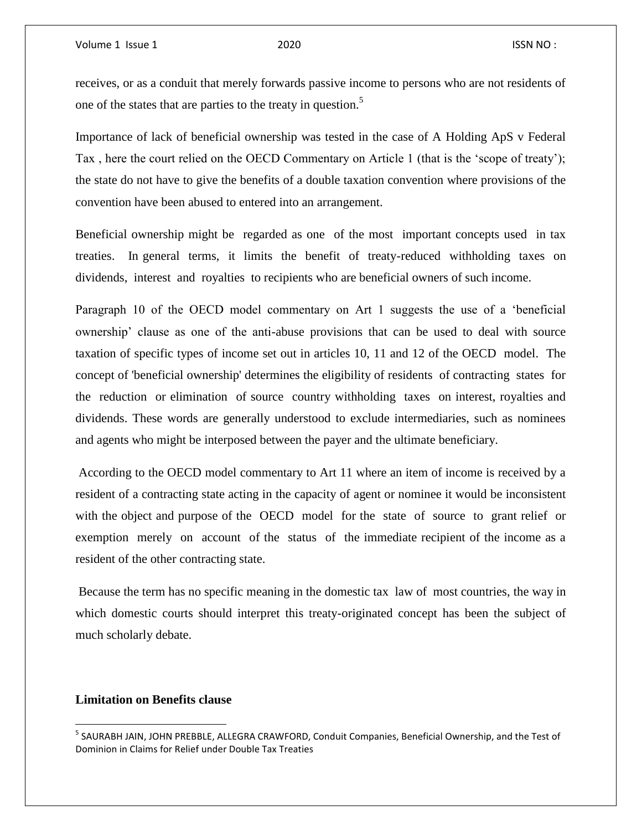receives, or as a conduit that merely forwards passive income to persons who are not residents of one of the states that are parties to the treaty in question.<sup>5</sup>

Importance of lack of beneficial ownership was tested in the case of A Holding ApS v Federal Tax , here the court relied on the OECD Commentary on Article 1 (that is the 'scope of treaty'); the state do not have to give the benefits of a double taxation convention where provisions of the convention have been abused to entered into an arrangement.

Beneficial ownership might be regarded as one of the most important concepts used in tax treaties. In general terms, it limits the benefit of treaty-reduced withholding taxes on dividends, interest and royalties to recipients who are beneficial owners of such income.

Paragraph 10 of the OECD model commentary on Art 1 suggests the use of a 'beneficial ownership' clause as one of the anti-abuse provisions that can be used to deal with source taxation of specific types of income set out in articles 10, 11 and 12 of the OECD model. The concept of 'beneficial ownership' determines the eligibility of residents of contracting states for the reduction or elimination of source country withholding taxes on interest, royalties and dividends. These words are generally understood to exclude intermediaries, such as nominees and agents who might be interposed between the payer and the ultimate beneficiary.

According to the OECD model commentary to Art 11 where an item of income is received by a resident of a contracting state acting in the capacity of agent or nominee it would be inconsistent with the object and purpose of the OECD model for the state of source to grant relief or exemption merely on account of the status of the immediate recipient of the income as a resident of the other contracting state.

Because the term has no specific meaning in the domestic tax law of most countries, the way in which domestic courts should interpret this treaty-originated concept has been the subject of much scholarly debate.

### **Limitation on Benefits clause**

l

<sup>&</sup>lt;sup>5</sup> SAURABH JAIN, JOHN PREBBLE, ALLEGRA CRAWFORD, Conduit Companies, Beneficial Ownership, and the Test of Dominion in Claims for Relief under Double Tax Treaties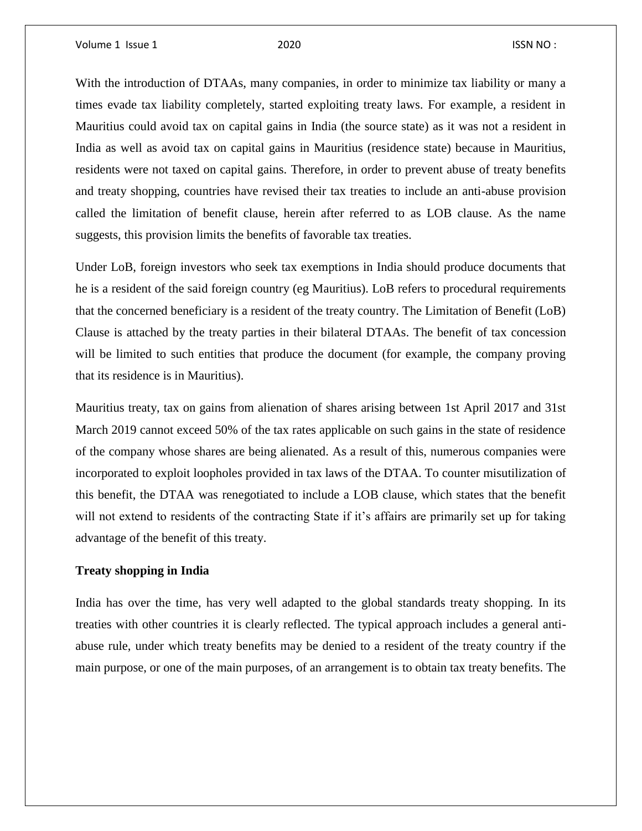Volume 1 Issue 1 2020 **ISSN NO**:

With the introduction of DTAAs, many companies, in order to minimize tax liability or many a times evade tax liability completely, started exploiting treaty laws. For example, a resident in Mauritius could avoid tax on capital gains in India (the source state) as it was not a resident in India as well as avoid tax on capital gains in Mauritius (residence state) because in Mauritius, residents were not taxed on capital gains. Therefore, in order to prevent abuse of treaty benefits and treaty shopping, countries have revised their tax treaties to include an anti-abuse provision called the limitation of benefit clause, herein after referred to as LOB clause. As the name suggests, this provision limits the benefits of favorable tax treaties.

Under LoB, foreign investors who seek tax exemptions in India should produce documents that he is a resident of the said foreign country (eg Mauritius). LoB refers to procedural requirements that the concerned beneficiary is a resident of the treaty country. The Limitation of Benefit (LoB) Clause is attached by the treaty parties in their bilateral DTAAs. The benefit of tax concession will be limited to such entities that produce the document (for example, the company proving that its residence is in Mauritius).

Mauritius treaty, tax on gains from alienation of shares arising between 1st April 2017 and 31st March 2019 cannot exceed 50% of the tax rates applicable on such gains in the state of residence of the company whose shares are being alienated. As a result of this, numerous companies were incorporated to exploit loopholes provided in tax laws of the DTAA. To counter misutilization of this benefit, the DTAA was renegotiated to include a LOB clause, which states that the benefit will not extend to residents of the contracting State if it's affairs are primarily set up for taking advantage of the benefit of this treaty.

#### **Treaty shopping in India**

India has over the time, has very well adapted to the global standards treaty shopping. In its treaties with other countries it is clearly reflected. The typical approach includes a general antiabuse rule, under which treaty benefits may be denied to a resident of the treaty country if the main purpose, or one of the main purposes, of an arrangement is to obtain tax treaty benefits. The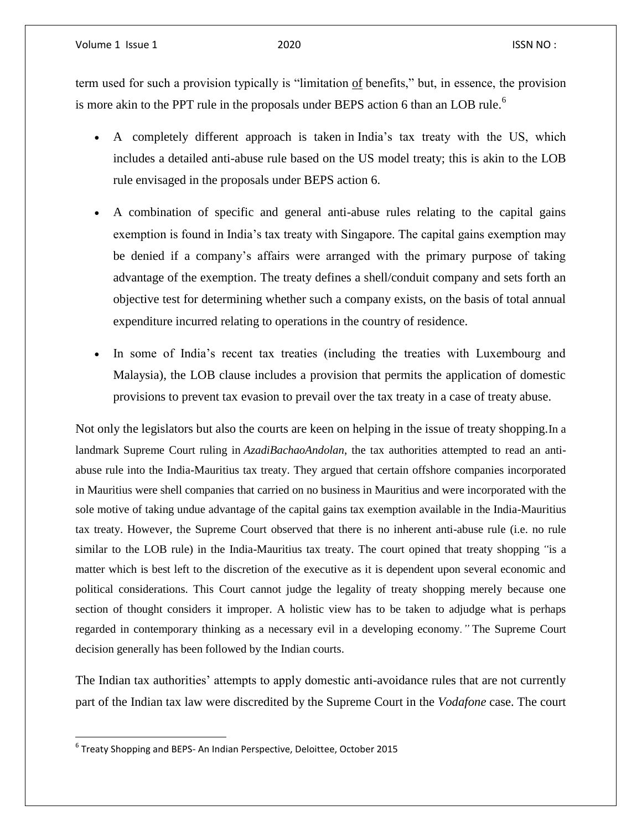Volume 1 Issue 1 2020 **ISSN NO**:

term used for such a provision typically is "limitation of benefits," but, in essence, the provision is more akin to the PPT rule in the proposals under BEPS action 6 than an LOB rule.<sup>6</sup>

- A completely different approach is taken in India's tax treaty with the US, which includes a detailed anti-abuse rule based on the US model treaty; this is akin to the LOB rule envisaged in the proposals under BEPS action 6.
- A combination of specific and general anti-abuse rules relating to the capital gains exemption is found in India's tax treaty with Singapore. The capital gains exemption may be denied if a company's affairs were arranged with the primary purpose of taking advantage of the exemption. The treaty defines a shell/conduit company and sets forth an objective test for determining whether such a company exists, on the basis of total annual expenditure incurred relating to operations in the country of residence.
- In some of India's recent tax treaties (including the treaties with Luxembourg and Malaysia), the LOB clause includes a provision that permits the application of domestic provisions to prevent tax evasion to prevail over the tax treaty in a case of treaty abuse.

Not only the legislators but also the courts are keen on helping in the issue of treaty shopping.In a landmark Supreme Court ruling in *AzadiBachaoAndolan*, the tax authorities attempted to read an antiabuse rule into the India-Mauritius tax treaty. They argued that certain offshore companies incorporated in Mauritius were shell companies that carried on no business in Mauritius and were incorporated with the sole motive of taking undue advantage of the capital gains tax exemption available in the India-Mauritius tax treaty. However, the Supreme Court observed that there is no inherent anti-abuse rule (i.e. no rule similar to the LOB rule) in the India-Mauritius tax treaty. The court opined that treaty shopping *"*is a matter which is best left to the discretion of the executive as it is dependent upon several economic and political considerations. This Court cannot judge the legality of treaty shopping merely because one section of thought considers it improper. A holistic view has to be taken to adjudge what is perhaps regarded in contemporary thinking as a necessary evil in a developing economy*."* The Supreme Court decision generally has been followed by the Indian courts.

The Indian tax authorities' attempts to apply domestic anti-avoidance rules that are not currently part of the Indian tax law were discredited by the Supreme Court in the *Vodafone* case. The court

 $\overline{\phantom{a}}$ 

 $^6$  Treaty Shopping and BEPS- An Indian Perspective, Deloittee, October 2015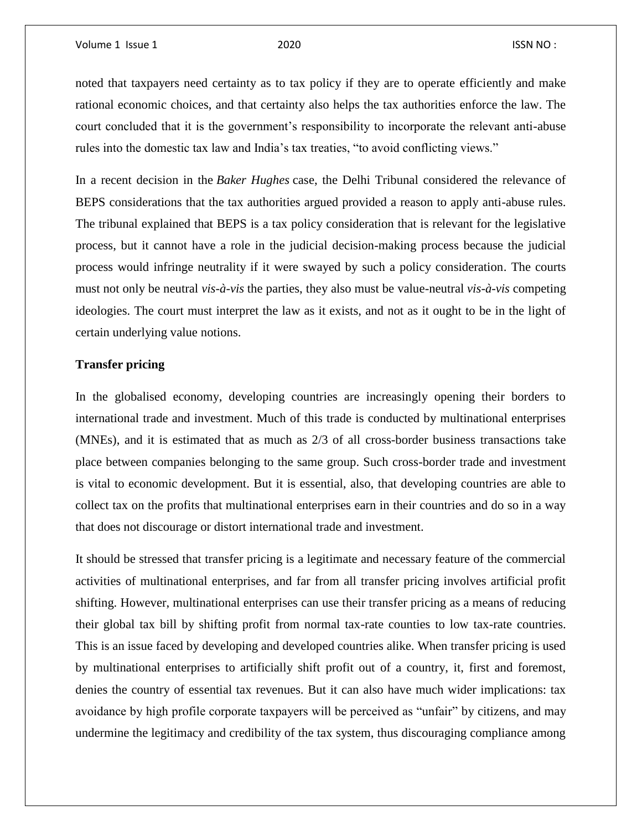noted that taxpayers need certainty as to tax policy if they are to operate efficiently and make rational economic choices, and that certainty also helps the tax authorities enforce the law. The court concluded that it is the government's responsibility to incorporate the relevant anti-abuse rules into the domestic tax law and India's tax treaties, "to avoid conflicting views."

In a recent decision in the *Baker Hughes* case, the Delhi Tribunal considered the relevance of BEPS considerations that the tax authorities argued provided a reason to apply anti-abuse rules. The tribunal explained that BEPS is a tax policy consideration that is relevant for the legislative process, but it cannot have a role in the judicial decision-making process because the judicial process would infringe neutrality if it were swayed by such a policy consideration. The courts must not only be neutral *vis-à-vis* the parties, they also must be value-neutral *vis-à-vis* competing ideologies. The court must interpret the law as it exists, and not as it ought to be in the light of certain underlying value notions.

#### **Transfer pricing**

In the globalised economy, developing countries are increasingly opening their borders to international trade and investment. Much of this trade is conducted by multinational enterprises (MNEs), and it is estimated that as much as 2/3 of all cross-border business transactions take place between companies belonging to the same group. Such cross-border trade and investment is vital to economic development. But it is essential, also, that developing countries are able to collect tax on the profits that multinational enterprises earn in their countries and do so in a way that does not discourage or distort international trade and investment.

It should be stressed that transfer pricing is a legitimate and necessary feature of the commercial activities of multinational enterprises, and far from all transfer pricing involves artificial profit shifting. However, multinational enterprises can use their transfer pricing as a means of reducing their global tax bill by shifting profit from normal tax-rate counties to low tax-rate countries. This is an issue faced by developing and developed countries alike. When transfer pricing is used by multinational enterprises to artificially shift profit out of a country, it, first and foremost, denies the country of essential tax revenues. But it can also have much wider implications: tax avoidance by high profile corporate taxpayers will be perceived as "unfair" by citizens, and may undermine the legitimacy and credibility of the tax system, thus discouraging compliance among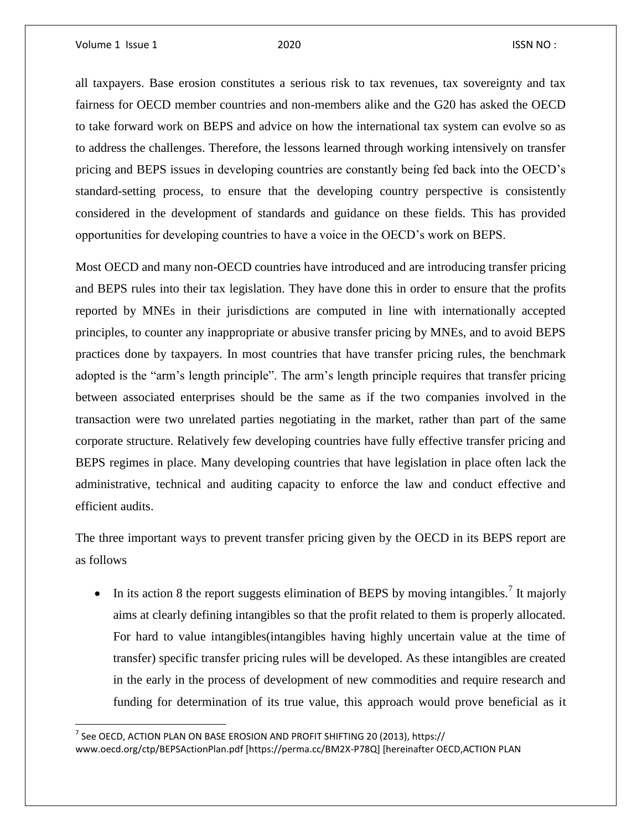l

all taxpayers. Base erosion constitutes a serious risk to tax revenues, tax sovereignty and tax fairness for OECD member countries and non-members alike and the G20 has asked the OECD to take forward work on BEPS and advice on how the international tax system can evolve so as to address the challenges. Therefore, the lessons learned through working intensively on transfer pricing and BEPS issues in developing countries are constantly being fed back into the OECD's standard-setting process, to ensure that the developing country perspective is consistently considered in the development of standards and guidance on these fields. This has provided opportunities for developing countries to have a voice in the OECD's work on BEPS.

Most OECD and many non-OECD countries have introduced and are introducing transfer pricing and BEPS rules into their tax legislation. They have done this in order to ensure that the profits reported by MNEs in their jurisdictions are computed in line with internationally accepted principles, to counter any inappropriate or abusive transfer pricing by MNEs, and to avoid BEPS practices done by taxpayers. In most countries that have transfer pricing rules, the benchmark adopted is the "arm's length principle". The arm's length principle requires that transfer pricing between associated enterprises should be the same as if the two companies involved in the transaction were two unrelated parties negotiating in the market, rather than part of the same corporate structure. Relatively few developing countries have fully effective transfer pricing and BEPS regimes in place. Many developing countries that have legislation in place often lack the administrative, technical and auditing capacity to enforce the law and conduct effective and efficient audits.

The three important ways to prevent transfer pricing given by the OECD in its BEPS report are as follows

In its action 8 the report suggests elimination of BEPS by moving intangibles.<sup>7</sup> It majorly aims at clearly defining intangibles so that the profit related to them is properly allocated. For hard to value intangibles(intangibles having highly uncertain value at the time of transfer) specific transfer pricing rules will be developed. As these intangibles are created in the early in the process of development of new commodities and require research and funding for determination of its true value, this approach would prove beneficial as it

 $^7$  See OECD, ACTION PLAN ON BASE EROSION AND PROFIT SHIFTING 20 (2013), <code>https://</code> www.oecd.org/ctp/BEPSActionPlan.pdf [https://perma.cc/BM2X-P78Q] [hereinafter OECD,ACTION PLAN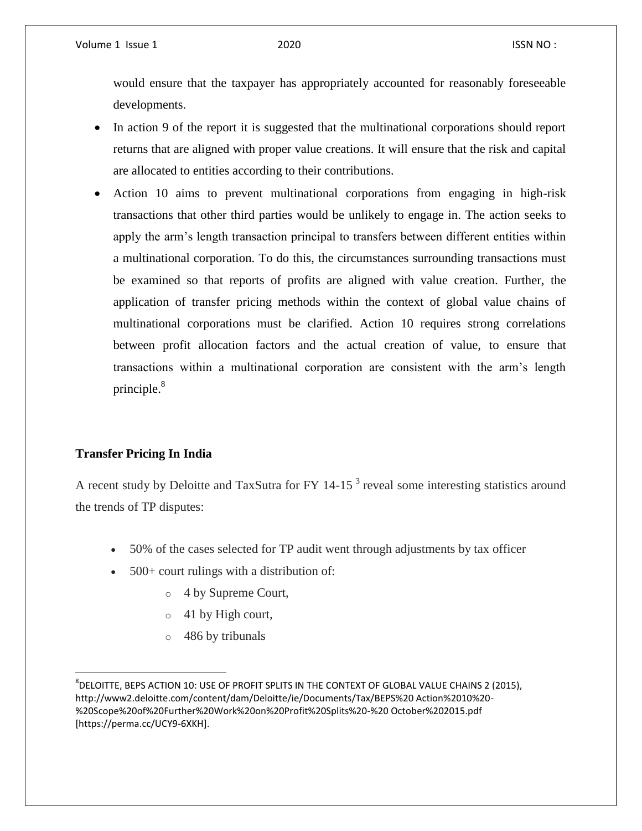would ensure that the taxpayer has appropriately accounted for reasonably foreseeable developments.

- In action 9 of the report it is suggested that the multinational corporations should report returns that are aligned with proper value creations. It will ensure that the risk and capital are allocated to entities according to their contributions.
- Action 10 aims to prevent multinational corporations from engaging in high-risk transactions that other third parties would be unlikely to engage in. The action seeks to apply the arm's length transaction principal to transfers between different entities within a multinational corporation. To do this, the circumstances surrounding transactions must be examined so that reports of profits are aligned with value creation. Further, the application of transfer pricing methods within the context of global value chains of multinational corporations must be clarified. Action 10 requires strong correlations between profit allocation factors and the actual creation of value, to ensure that transactions within a multinational corporation are consistent with the arm's length principle. $8<sup>8</sup>$

### **Transfer Pricing In India**

 $\overline{a}$ 

A recent study by Deloitte and TaxSutra for FY 14-15<sup>3</sup> reveal some interesting statistics around the trends of TP disputes:

- 50% of the cases selected for TP audit went through adjustments by tax officer
- 500+ court rulings with a distribution of:
	- o 4 by Supreme Court,
	- o 41 by High court,
	- o 486 by tribunals

 $^8$ DELOITTE, BEPS ACTION 10: USE OF PROFIT SPLITS IN THE CONTEXT OF GLOBAL VALUE CHAINS 2 (2015), http://www2.deloitte.com/content/dam/Deloitte/ie/Documents/Tax/BEPS%20 Action%2010%20- %20Scope%20of%20Further%20Work%20on%20Profit%20Splits%20-%20 October%202015.pdf [https://perma.cc/UCY9-6XKH].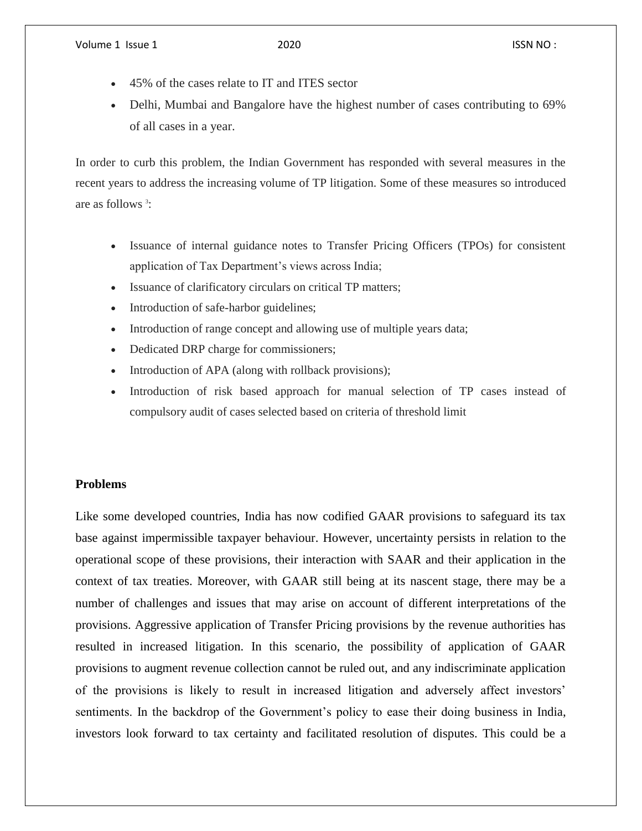- 45% of the cases relate to IT and ITES sector
- Delhi, Mumbai and Bangalore have the highest number of cases contributing to 69% of all cases in a year.

In order to curb this problem, the Indian Government has responded with several measures in the recent years to address the increasing volume of TP litigation. Some of these measures so introduced are as follows <sup>3</sup>:

- Issuance of internal guidance notes to Transfer Pricing Officers (TPOs) for consistent application of Tax Department's views across India;
- Issuance of clarificatory circulars on critical TP matters;
- Introduction of safe-harbor guidelines;
- Introduction of range concept and allowing use of multiple years data;
- Dedicated DRP charge for commissioners;
- Introduction of APA (along with rollback provisions);
- Introduction of risk based approach for manual selection of TP cases instead of compulsory audit of cases selected based on criteria of threshold limit

#### **Problems**

Like some developed countries, India has now codified GAAR provisions to safeguard its tax base against impermissible taxpayer behaviour. However, uncertainty persists in relation to the operational scope of these provisions, their interaction with SAAR and their application in the context of tax treaties. Moreover, with GAAR still being at its nascent stage, there may be a number of challenges and issues that may arise on account of different interpretations of the provisions. Aggressive application of Transfer Pricing provisions by the revenue authorities has resulted in increased litigation. In this scenario, the possibility of application of GAAR provisions to augment revenue collection cannot be ruled out, and any indiscriminate application of the provisions is likely to result in increased litigation and adversely affect investors' sentiments. In the backdrop of the Government's policy to ease their doing business in India, investors look forward to tax certainty and facilitated resolution of disputes. This could be a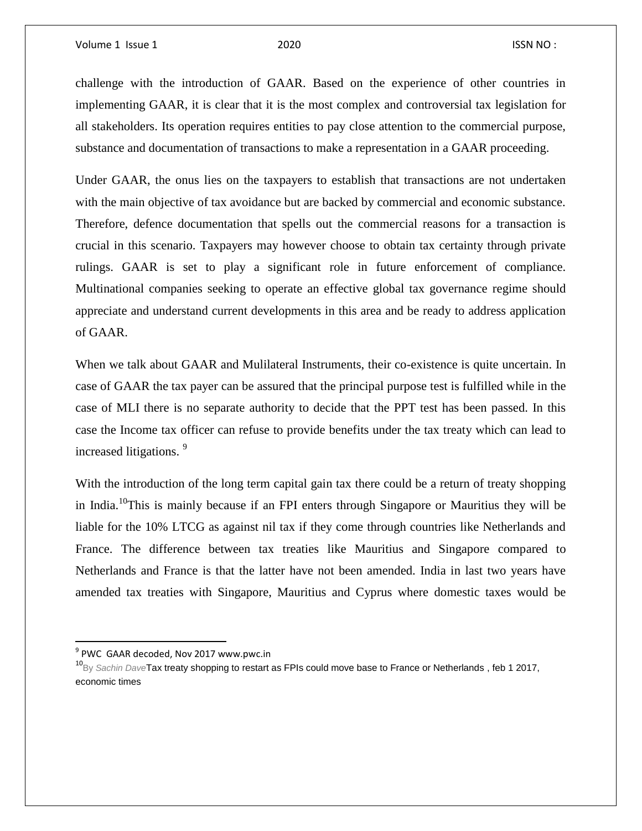challenge with the introduction of GAAR. Based on the experience of other countries in implementing GAAR, it is clear that it is the most complex and controversial tax legislation for all stakeholders. Its operation requires entities to pay close attention to the commercial purpose, substance and documentation of transactions to make a representation in a GAAR proceeding.

Under GAAR, the onus lies on the taxpayers to establish that transactions are not undertaken with the main objective of tax avoidance but are backed by commercial and economic substance. Therefore, defence documentation that spells out the commercial reasons for a transaction is crucial in this scenario. Taxpayers may however choose to obtain tax certainty through private rulings. GAAR is set to play a significant role in future enforcement of compliance. Multinational companies seeking to operate an effective global tax governance regime should appreciate and understand current developments in this area and be ready to address application of GAAR.

When we talk about GAAR and Mulilateral Instruments, their co-existence is quite uncertain. In case of GAAR the tax payer can be assured that the principal purpose test is fulfilled while in the case of MLI there is no separate authority to decide that the PPT test has been passed. In this case the Income tax officer can refuse to provide benefits under the tax treaty which can lead to increased litigations. <sup>9</sup>

With the introduction of the long term capital gain tax there could be a return of treaty shopping in India.<sup>10</sup>This is mainly because if an FPI enters through Singapore or Mauritius they will be liable for the 10% LTCG as against nil tax if they come through countries like Netherlands and France. The difference between tax treaties like Mauritius and Singapore compared to Netherlands and France is that the latter have not been amended. India in last two years have amended tax treaties with Singapore, Mauritius and Cyprus where domestic taxes would be

l

<sup>&</sup>lt;sup>9</sup> PWC GAAR decoded, Nov 2017 www.pwc.in

<sup>10</sup>By *Sachin Dave*Tax treaty shopping to restart as FPIs could move base to France or Netherlands , feb 1 2017, economic times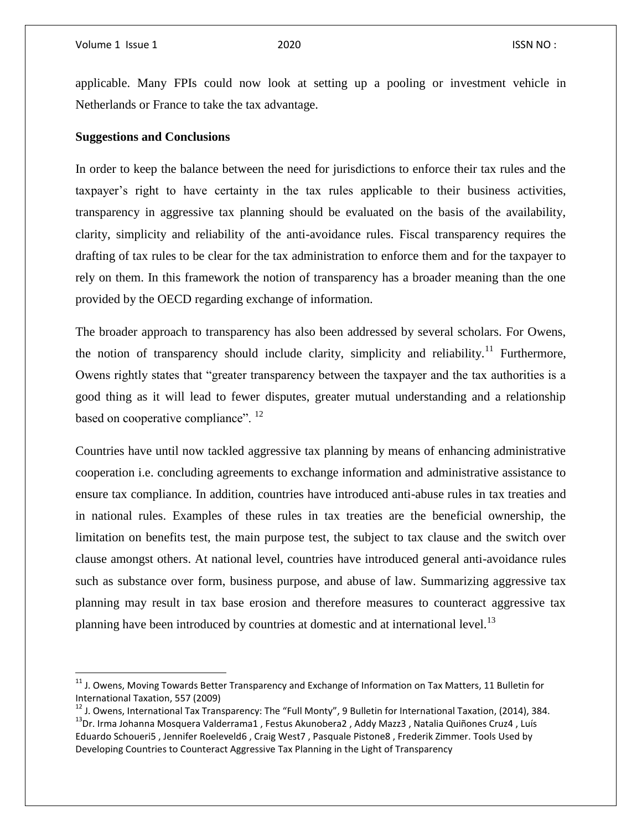$\overline{a}$ 

applicable. Many FPIs could now look at setting up a pooling or investment vehicle in Netherlands or France to take the tax advantage.

#### **Suggestions and Conclusions**

In order to keep the balance between the need for jurisdictions to enforce their tax rules and the taxpayer's right to have certainty in the tax rules applicable to their business activities, transparency in aggressive tax planning should be evaluated on the basis of the availability, clarity, simplicity and reliability of the anti-avoidance rules. Fiscal transparency requires the drafting of tax rules to be clear for the tax administration to enforce them and for the taxpayer to rely on them. In this framework the notion of transparency has a broader meaning than the one provided by the OECD regarding exchange of information.

The broader approach to transparency has also been addressed by several scholars. For Owens, the notion of transparency should include clarity, simplicity and reliability.<sup>11</sup> Furthermore, Owens rightly states that "greater transparency between the taxpayer and the tax authorities is a good thing as it will lead to fewer disputes, greater mutual understanding and a relationship based on cooperative compliance". <sup>12</sup>

Countries have until now tackled aggressive tax planning by means of enhancing administrative cooperation i.e. concluding agreements to exchange information and administrative assistance to ensure tax compliance. In addition, countries have introduced anti-abuse rules in tax treaties and in national rules. Examples of these rules in tax treaties are the beneficial ownership, the limitation on benefits test, the main purpose test, the subject to tax clause and the switch over clause amongst others. At national level, countries have introduced general anti-avoidance rules such as substance over form, business purpose, and abuse of law. Summarizing aggressive tax planning may result in tax base erosion and therefore measures to counteract aggressive tax planning have been introduced by countries at domestic and at international level.<sup>13</sup>

<sup>&</sup>lt;sup>11</sup> J. Owens, Moving Towards Better Transparency and Exchange of Information on Tax Matters, 11 Bulletin for International Taxation, 557 (2009)

<sup>&</sup>lt;sup>12</sup> J. Owens, International Tax Transparency: The "Full Monty", 9 Bulletin for International Taxation, (2014), 384. <sup>13</sup>Dr. Irma Johanna Mosquera Valderrama1, Festus Akunobera2, Addy Mazz3, Natalia Quiñones Cruz4, Luís Eduardo Schoueri5 , Jennifer Roeleveld6 , Craig West7 , Pasquale Pistone8 , Frederik Zimmer. Tools Used by Developing Countries to Counteract Aggressive Tax Planning in the Light of Transparency